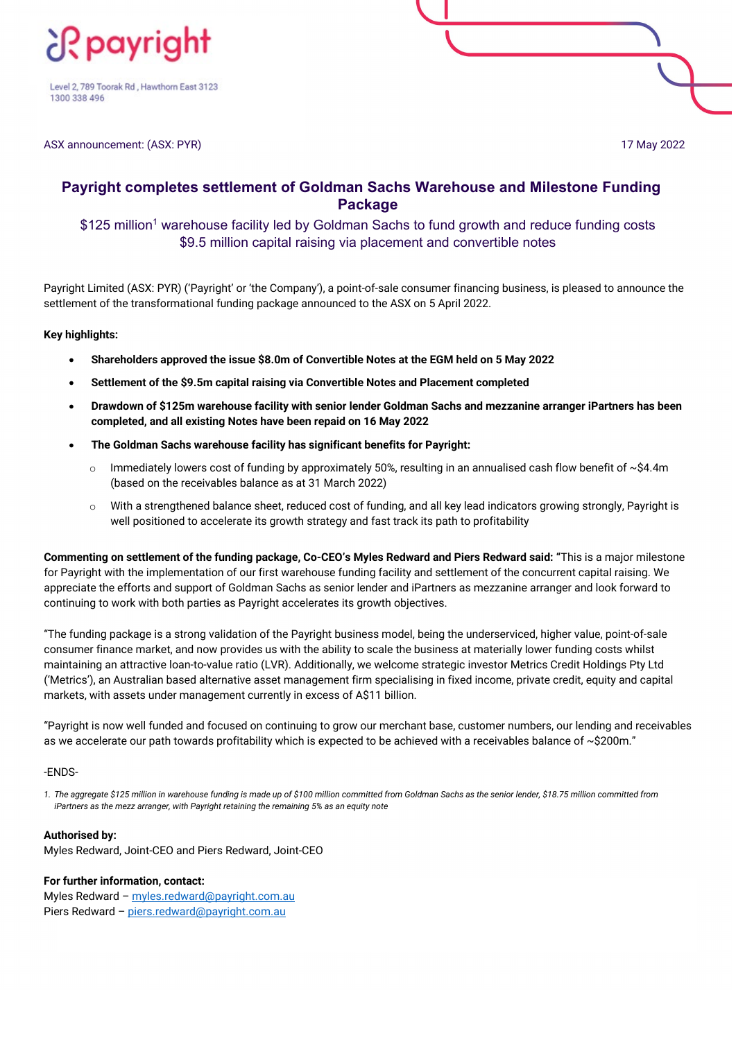

Level 2, 789 Toorak Rd, Hawthorn East 3123 1300 338 496

ASX announcement: (ASX: PYR) 17 May 2022

# **Payright completes settlement of Goldman Sachs Warehouse and Milestone Funding Package**

## \$125 million<sup>1</sup> warehouse facility led by Goldman Sachs to fund growth and reduce funding costs \$9.5 million capital raising via placement and convertible notes

Payright Limited (ASX: PYR) ('Payright' or 'the Company'), a point-of-sale consumer financing business, is pleased to announce the settlement of the transformational funding package announced to the ASX on 5 April 2022.

### **Key highlights:**

- **Shareholders approved the issue \$8.0m of Convertible Notes at the EGM held on 5 May 2022**
- **Settlement of the \$9.5m capital raising via Convertible Notes and Placement completed**
- **Drawdown of \$125m warehouse facility with senior lender Goldman Sachs and mezzanine arranger iPartners has been completed, and all existing Notes have been repaid on 16 May 2022**
- **The Goldman Sachs warehouse facility has significant benefits for Payright:**
	- Immediately lowers cost of funding by approximately 50%, resulting in an annualised cash flow benefit of  $\sim$ \$4.4m (based on the receivables balance as at 31 March 2022)
	- $\circ$  With a strengthened balance sheet, reduced cost of funding, and all key lead indicators growing strongly, Payright is well positioned to accelerate its growth strategy and fast track its path to profitability

**Commenting on settlement of the funding package, Co-CEO's Myles Redward and Piers Redward said: "**This is a major milestone for Payright with the implementation of our first warehouse funding facility and settlement of the concurrent capital raising. We appreciate the efforts and support of Goldman Sachs as senior lender and iPartners as mezzanine arranger and look forward to continuing to work with both parties as Payright accelerates its growth objectives.

"The funding package is a strong validation of the Payright business model, being the underserviced, higher value, point-of-sale consumer finance market, and now provides us with the ability to scale the business at materially lower funding costs whilst maintaining an attractive loan-to-value ratio (LVR). Additionally, we welcome strategic investor Metrics Credit Holdings Pty Ltd ('Metrics'), an Australian based alternative asset management firm specialising in fixed income, private credit, equity and capital markets, with assets under management currently in excess of A\$11 billion.

"Payright is now well funded and focused on continuing to grow our merchant base, customer numbers, our lending and receivables as we accelerate our path towards profitability which is expected to be achieved with a receivables balance of  $\sim$ \$200m."

### -ENDS-

*1. The aggregate \$125 million in warehouse funding is made up of \$100 million committed from Goldman Sachs as the senior lender, \$18.75 million committed from iPartners as the mezz arranger, with Payright retaining the remaining 5% as an equity note*

### **Authorised by:**

Myles Redward, Joint-CEO and Piers Redward, Joint-CEO

**For further information, contact:** Myles Redward - [myles.redward@payright.com.au](mailto:myles.redward@payright.com.au) Piers Redward - [piers.redward@payright.com.au](mailto:piers.redward@payright.com.au)